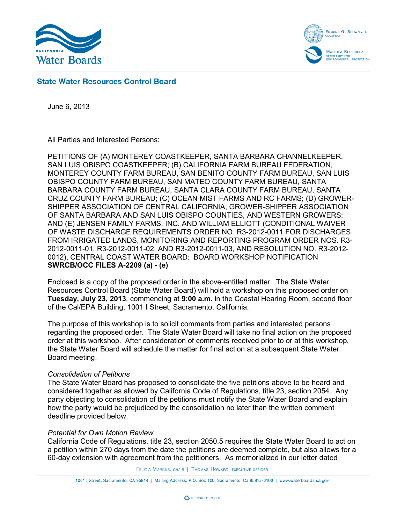



# **State Water Resources Control Board**

June 6, 2013

All Parties and Interested Persons:

PETITIONS OF (A) MONTEREY COASTKEEPER, SANTA BARBARA CHANNELKEEPER, SAN LUIS OBISPO COASTKEEPER; (B) CALIFORNIA FARM BUREAU FEDERATION, MONTEREY COUNTY FARM BUREAU, SAN BENITO COUNTY FARM BUREAU, SAN LUIS OBISPO COUNTY FARM BUREAU, SAN MATEO COUNTY FARM BUREAU, SANTA BARBARA COUNTY FARM BUREAU, SANTA CLARA COUNTY FARM BUREAU, SANTA CRUZ COUNTY FARM BUREAU; (C) OCEAN MIST FARMS AND RC FARMS; (D) GROWER-SHIPPER ASSOCIATION OF CENTRAL CALIFORNIA, GROWER-SHIPPER ASSOCIATION OF SANTA BARBARA AND SAN LUIS OBISPO COUNTIES, AND WESTERN GROWERS; AND (E) JENSEN FAMILY FARMS, INC. AND WILLIAM ELLIOTT (CONDITIONAL WAIVER OF WASTE DISCHARGE REQUIREMENTS ORDER NO. R3-2012-0011 FOR DISCHARGES FROM IRRIGATED LANDS, MONITORING AND REPORTING PROGRAM ORDER NOS. R3- 2012-0011-01, R3-2012-0011-02, AND R3-2012-0011-03, AND RESOLUTION NO. R3-2012- 0012), CENTRAL COAST WATER BOARD: BOARD WORKSHOP NOTIFICATION **SWRCB/OCC FILES A-2209 (a) - (e)**

Enclosed is a copy of the proposed order in the above-entitled matter. The State Water Resources Control Board (State Water Board) will hold a workshop on this proposed order on **Tuesday, July 23, 2013***,* commencing at **9:00 a.m.** in the Coastal Hearing Room, second floor of the Cal/EPA Building, 1001 I Street, Sacramento, California.

The purpose of this workshop is to solicit comments from parties and interested persons regarding the proposed order. The State Water Board will take no final action on the proposed order at this workshop. After consideration of comments received prior to or at this workshop, the State Water Board will schedule the matter for final action at a subsequent State Water Board meeting.

### *Consolidation of Petitions*

The State Water Board has proposed to consolidate the five petitions above to be heard and considered together as allowed by California Code of Regulations, title 23, section 2054. Any party objecting to consolidation of the petitions must notify the State Water Board and explain how the party would be prejudiced by the consolidation no later than the written comment deadline provided below.

### *Potential for Own Motion Review*

California Code of Regulations, title 23, section 2050.5 requires the State Water Board to act on a petition within 270 days from the date the petitions are deemed complete, but also allows for a 60-day extension with agreement from the petitioners. As memorialized in our letter dated

FELICIA MARCUS, CHAIR | THOMAS HOWARD, EXECUTIVE OFFICER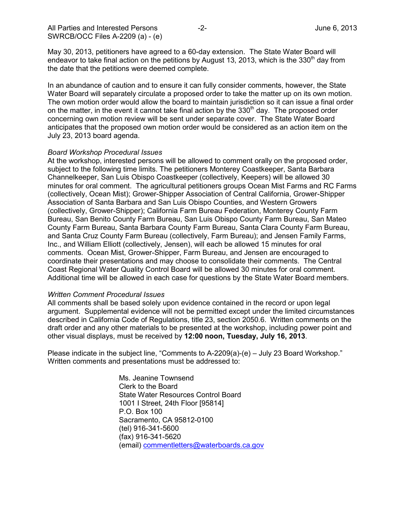May 30, 2013, petitioners have agreed to a 60-day extension. The State Water Board will endeavor to take final action on the petitions by August 13, 2013, which is the 330<sup>th</sup> day from the date that the petitions were deemed complete.

In an abundance of caution and to ensure it can fully consider comments, however, the State Water Board will separately circulate a proposed order to take the matter up on its own motion. The own motion order would allow the board to maintain jurisdiction so it can issue a final order on the matter, in the event it cannot take final action by the  $330<sup>th</sup>$  day. The proposed order concerning own motion review will be sent under separate cover. The State Water Board anticipates that the proposed own motion order would be considered as an action item on the July 23, 2013 board agenda.

### *Board Workshop Procedural Issues*

At the workshop, interested persons will be allowed to comment orally on the proposed order, subject to the following time limits. The petitioners Monterey Coastkeeper, Santa Barbara Channelkeeper, San Luis Obispo Coastkeeper (collectively, Keepers) will be allowed 30 minutes for oral comment. The agricultural petitioners groups Ocean Mist Farms and RC Farms (collectively, Ocean Mist); Grower-Shipper Association of Central California, Grower-Shipper Association of Santa Barbara and San Luis Obispo Counties, and Western Growers (collectively, Grower-Shipper); California Farm Bureau Federation, Monterey County Farm Bureau, San Benito County Farm Bureau, San Luis Obispo County Farm Bureau, San Mateo County Farm Bureau, Santa Barbara County Farm Bureau, Santa Clara County Farm Bureau, and Santa Cruz County Farm Bureau (collectively, Farm Bureau); and Jensen Family Farms, Inc., and William Elliott (collectively, Jensen), will each be allowed 15 minutes for oral comments. Ocean Mist, Grower-Shipper, Farm Bureau, and Jensen are encouraged to coordinate their presentations and may choose to consolidate their comments. The Central Coast Regional Water Quality Control Board will be allowed 30 minutes for oral comment. Additional time will be allowed in each case for questions by the State Water Board members.

### *Written Comment Procedural Issues*

All comments shall be based solely upon evidence contained in the record or upon legal argument. Supplemental evidence will not be permitted except under the limited circumstances described in California Code of Regulations, title 23, section 2050.6. Written comments on the draft order and any other materials to be presented at the workshop, including power point and other visual displays, must be received by **12:00 noon, Tuesday, July 16, 2013**.

Please indicate in the subject line, "Comments to A-2209(a)-(e) – July 23 Board Workshop." Written comments and presentations must be addressed to:

> Ms. Jeanine Townsend Clerk to the Board State Water Resources Control Board 1001 I Street, 24th Floor [95814] P.O. Box 100 Sacramento, CA 95812-0100 (tel) 916-341-5600 (fax) 916-341-5620 (email) [commentletters@waterboards.ca.gov](mailto:commentletters@waterboards.ca.gov)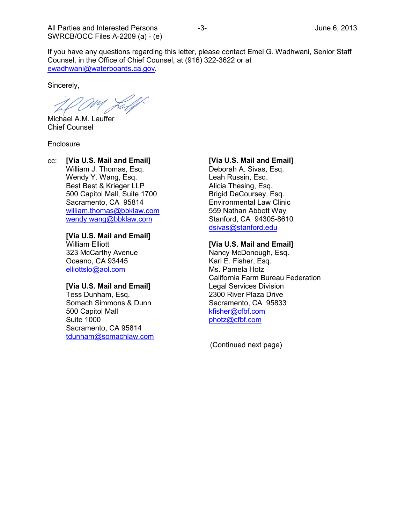If you have any questions regarding this letter, please contact Emel G. Wadhwani, Senior Staff Counsel, in the Office of Chief Counsel, at (916) 322-3622 or at [ewadhwani@waterboards.ca.gov](mailto:ewadhwani@waterboards.ca.gov)*.*

Sincerely,

Lall

Michael A.M. Lauffer Chief Counsel

**Enclosure** 

cc: **[Via U.S. Mail and Email]** William J. Thomas, Esq. Wendy Y. Wang, Esq. Best Best & Krieger LLP 500 Capitol Mall, Suite 1700 Sacramento, CA 95814 [william.thomas@bbklaw.com](mailto:william.thomas@bbklaw.com) [wendy.wang@bbklaw.com](mailto:wendy.wang@bbklaw.com)

> **[Via U.S. Mail and Email]** William Elliott

323 McCarthy Avenue Oceano, CA 93445 [elliottslo@aol.com](mailto:elliottslo@aol.com)

#### **[Via U.S. Mail and Email]**

Tess Dunham, Esq. Somach Simmons & Dunn 500 Capitol Mall Suite 1000 Sacramento, CA 95814 [tdunham@somachlaw.com](mailto:tdunham@somachlaw.com)

## **[Via U.S. Mail and Email]**

Deborah A. Sivas, Esq. Leah Russin, Esq. Alicia Thesing, Esq. Brigid DeCoursey, Esq. Environmental Law Clinic 559 Nathan Abbott Way Stanford, CA 94305-8610 [dsivas@stanford.edu](mailto:dsivas@stanford.edu)

### **[Via U.S. Mail and Email]**

Nancy McDonough, Esq. Kari E. Fisher, Esq. Ms. Pamela Hotz California Farm Bureau Federation Legal Services Division 2300 River Plaza Drive Sacramento, CA 95833 [kfisher@cfbf.com](mailto:kfisher@cfbf.com) [photz@cfbf.com](mailto:photz@cfbf.com)

(Continued next page)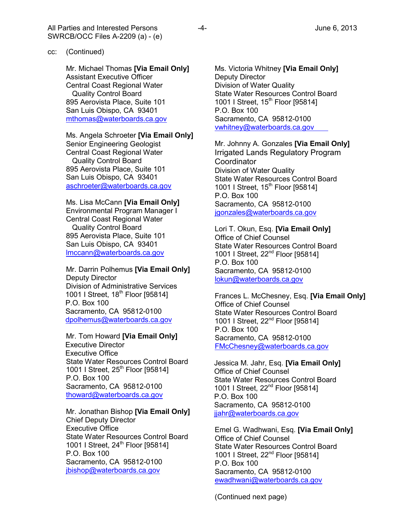Mr. Michael Thomas **[Via Email Only]** Assistant Executive Officer Central Coast Regional Water Quality Control Board 895 Aerovista Place, Suite 101 San Luis Obispo, CA 93401 [mthomas@waterboards.ca.gov](mailto:mthomas@waterboards.ca.gov)

### Ms. Angela Schroeter **[Via Email Only]**

Senior Engineering Geologist Central Coast Regional Water Quality Control Board 895 Aerovista Place, Suite 101 San Luis Obispo, CA 93401 [aschroeter@waterboards.ca.gov](mailto:aschroeter@waterboards.ca.gov)

Ms. Lisa McCann **[Via Email Only]** Environmental Program Manager I Central Coast Regional Water Quality Control Board 895 Aerovista Place, Suite 101 San Luis Obispo, CA 93401 [lmccann@waterboards.ca.gov](mailto:lmccann@waterboards.ca.gov)

Mr. Darrin Polhemus **[Via Email Only]** Deputy Director Division of Administrative Services 1001 I Street, 18<sup>th</sup> Floor [95814] P.O. Box 100 Sacramento, CA 95812-0100 [dpolhemus@waterboards.ca.gov](mailto:dpolhemus@waterboards.ca.gov)

Mr. Tom Howard **[Via Email Only]** Executive Director Executive Office State Water Resources Control Board 1001 I Street, 25<sup>th</sup> Floor [95814] P.O. Box 100 Sacramento, CA 95812-0100 [thoward@waterboards.ca.gov](mailto:thoward@waterboards.ca.gov)

Mr. Jonathan Bishop **[Via Email Only]** Chief Deputy Director Executive Office State Water Resources Control Board 1001 I Street,  $24^{th}$  Floor [95814] P.O. Box 100 Sacramento, CA 95812-0100 [jbishop@waterboards.ca.gov](mailto:jbishop@waterboards.ca.gov)

Ms. Victoria Whitney **[Via Email Only]** Deputy Director Division of Water Quality State Water Resources Control Board 1001 I Street, 15<sup>th</sup> Floor [95814] P.O. Box 100 Sacramento, CA 95812-0100 [vwhitney@waterboards.ca.gov](mailto:vwhitney@waterboards.ca.gov)

Mr. Johnny A. Gonzales **[Via Email Only]** Irrigated Lands Regulatory Program **Coordinator** Division of Water Quality State Water Resources Control Board 1001 I Street, 15<sup>th</sup> Floor [95814] P.O. Box 100 Sacramento, CA 95812-0100 [jgonzales@waterboards.ca.gov](mailto:jgonzales@waterboards.ca.gov)

Lori T. Okun, Esq. **[Via Email Only]** Office of Chief Counsel State Water Resources Control Board 1001 I Street, 22<sup>nd</sup> Floor [95814] P.O. Box 100 Sacramento, CA 95812-0100 [lokun@waterboards.ca.gov](mailto:lokun@waterboards.ca.gov)

Frances L. McChesney, Esq. **[Via Email Only]** Office of Chief Counsel State Water Resources Control Board 1001 I Street, 22<sup>nd</sup> Floor [95814] P.O. Box 100 Sacramento, CA 95812-0100 [FMcChesney@waterboards.ca.gov](mailto:FMcChesney@waterboards.ca.gov)

Jessica M. Jahr, Esq. **[Via Email Only]** Office of Chief Counsel State Water Resources Control Board 1001 I Street, 22<sup>nd</sup> Floor [95814] P.O. Box 100 Sacramento, CA 95812-0100 [jjahr@waterboards.ca.gov](mailto:jjahr@waterboards.ca.gov)

Emel G. Wadhwani, Esq. **[Via Email Only]** Office of Chief Counsel State Water Resources Control Board 1001 I Street, 22<sup>nd</sup> Floor [95814] P.O. Box 100 Sacramento, CA 95812-0100 [ewadhwani@waterboards.ca.gov](mailto:ewadhwani@waterboards.ca.gov)

(Continued next page)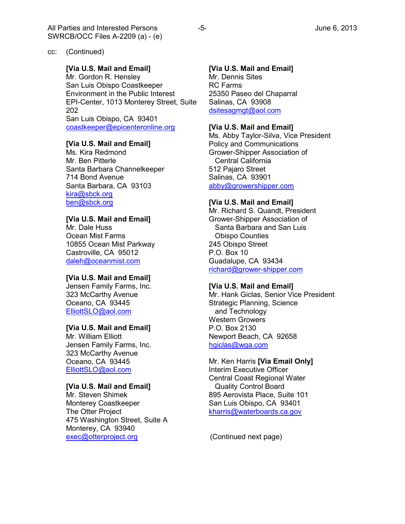### cc: (Continued)

## **[Via U.S. Mail and Email]**

Mr. Gordon R. Hensley San Luis Obispo Coastkeeper Environment in the Public Interest EPI-Center, 1013 Monterey Street, Suite 202 San Luis Obispo, CA 93401 [coastkeeper@epicenteronline.org](mailto:coastkeeper@epicenteronline.org)

## **[Via U.S. Mail and Email]**

Ms. Kira Redmond Mr. Ben Pitterle Santa Barbara Channelkeeper 714 Bond Avenue Santa Barbara, CA 93103 [kira@sbck.org](mailto:kira@sbck.org) [ben@sbck.org](mailto:ben@sbck.org)

## **[Via U.S. Mail and Email]**

Mr. Dale Huss Ocean Mist Farms 10855 Ocean Mist Parkway Castroville, CA 95012 [daleh@oceanmist.com](mailto:daleh@oceanmist.com)

#### **[Via U.S. Mail and Email]**

Jensen Family Farms, Inc. 323 McCarthy Avenue Oceano, CA 93445 [ElliottSLO@aol.com](mailto:ElliottSLO@aol.com)

### **[Via U.S. Mail and Email]**

Mr. William Elliott Jensen Family Farms, Inc. 323 McCarthy Avenue Oceano, CA 93445 [ElliottSLO@aol.com](mailto:ElliottSLO@aol.com)

## **[Via U.S. Mail and Email]**

Mr. Steven Shimek Monterey Coastkeeper The Otter Project 475 Washington Street, Suite A Monterey, CA 93940 [exec@otterproject.org](mailto:exec@otterproject.org)

### **[Via U.S. Mail and Email]**

Mr. Dennis Sites RC Farms 25350 Paseo del Chaparral Salinas, CA 93908 [dsitesagmgt@aol.com](mailto:dsitesagmgt@aol.com)

### **[Via U.S. Mail and Email]**

Ms. Abby Taylor-Silva, Vice President Policy and Communications Grower-Shipper Association of Central California 512 Pajaro Street Salinas, CA 93901 [abby@growershipper.com](mailto:abby@growershipper.com)

#### **[Via U.S. Mail and Email]**

Mr. Richard S. Quandt, President Grower-Shipper Association of Santa Barbara and San Luis Obispo Counties 245 Obispo Street P.O. Box 10 Guadalupe, CA 93434 [richard@grower-shipper.com](mailto:richard@grower-shipper.com)

#### **[Via U.S. Mail and Email]**

Mr. Hank Giclas, Senior Vice President Strategic Planning, Science and Technology Western Growers P.O. Box 2130 Newport Beach, CA 92658 [hgiclas@wga.com](mailto:hgiclas@wga.com)

## Mr. Ken Harris **[Via Email Only]** Interim Executive Officer Central Coast Regional Water Quality Control Board 895 Aerovista Place, Suite 101 San Luis Obispo, CA 93401 [kharris@waterboards.ca.gov](mailto:rbriggs@waterboards.ca.gov)

(Continued next page)